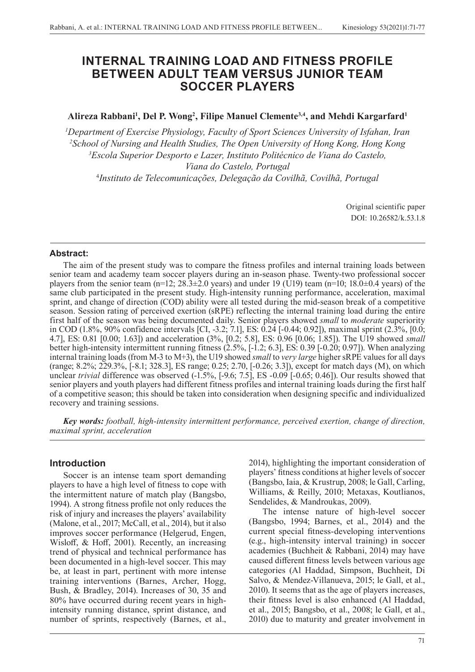# **INTERNAL TRAINING LOAD AND FITNESS PROFILE BETWEEN ADULT TEAM VERSUS JUNIOR TEAM SOCCER PLAYERS**

**Alireza Rabbani1 , Del P. Wong2 , Filipe Manuel Clemente3,4, and Mehdi Kargarfard1**

 *Department of Exercise Physiology, Faculty of Sport Sciences University of Isfahan, Iran School of Nursing and Health Studies, The Open University of Hong Kong, Hong Kong Escola Superior Desporto e Lazer, Instituto Politécnico de Viana do Castelo, Viana do Castelo, Portugal Instituto de Telecomunicações, Delegação da Covilhã, Covilhã, Portugal*

> Original scientific paper DOI: 10.26582/k.53.1.8

#### **Abstract:**

The aim of the present study was to compare the fitness profiles and internal training loads between senior team and academy team soccer players during an in-season phase. Twenty-two professional soccer players from the senior team (n=12;  $28.\overline{3} \pm 2.0$  years) and under 19 ( $\overline{U}$ 19) team (n=10; 18.0 $\pm$ 0.4 years) of the same club participated in the present study. High-intensity running performance, acceleration, maximal sprint, and change of direction (COD) ability were all tested during the mid-season break of a competitive season. Session rating of perceived exertion (sRPE) reflecting the internal training load during the entire first half of the season was being documented daily. Senior players showed *small* to *moderate* superiority in COD (1.8%, 90% confidence intervals [CI, -3.2; 7.1], ES: 0.24 [-0.44; 0.92]), maximal sprint (2.3%, [0.0; 4.7], ES: 0.81 [0.00; 1.63]) and acceleration (3%, [0.2; 5.8], ES: 0.96 [0.06; 1.85]). The U19 showed *small* better high-intensity intermittent running fitness (2.5%, [-1.2; 6.3], ES: 0.39 [-0.20; 0.97]). When analyzing internal training loads (from M-3 to M+3), the U19 showed *small* to *very large* higher sRPE values for all days (range; 8.2%; 229.3%, [-8.1; 328.3], ES range; 0.25; 2.70, [-0.26; 3.3]), except for match days (M), on which unclear *trivial* difference was observed (-1.5%, [-9.6; 7.5], ES -0.09 [-0.65; 0.46]). Our results showed that senior players and youth players had different fitness profiles and internal training loads during the first half of a competitive season; this should be taken into consideration when designing specific and individualized recovery and training sessions.

*Key words: football, high-intensity intermittent performance, perceived exertion, change of direction, maximal sprint, acceleration* 

# **Introduction**

Soccer is an intense team sport demanding players to have a high level of fitness to cope with the intermittent nature of match play (Bangsbo, 1994). A strong fitness profile not only reduces the risk of injury and increases the players' availability (Malone, et al., 2017; McCall, et al., 2014), but it also improves soccer performance (Helgerud, Engen, Wisloff, & Hoff, 2001). Recently, an increasing trend of physical and technical performance has been documented in a high-level soccer. This may be, at least in part, pertinent with more intense training interventions (Barnes, Archer, Hogg, Bush, & Bradley, 2014). Increases of 30, 35 and 80% have occurred during recent years in highintensity running distance, sprint distance, and number of sprints, respectively (Barnes, et al., 2014), highlighting the important consideration of players' fitness conditions at higher levels of soccer (Bangsbo, Iaia, & Krustrup, 2008; le Gall, Carling, Williams, & Reilly, 2010; Metaxas, Koutlianos, Sendelides, & Mandroukas, 2009).

The intense nature of high-level soccer (Bangsbo, 1994; Barnes, et al., 2014) and the current special fitness-developing interventions (e.g., high-intensity interval training) in soccer academies (Buchheit & Rabbani, 2014) may have caused different fitness levels between various age categories (Al Haddad, Simpson, Buchheit, Di Salvo, & Mendez-Villanueva, 2015; le Gall, et al., 2010). It seems that as the age of players increases, their fitness level is also enhanced (Al Haddad, et al., 2015; Bangsbo, et al., 2008; le Gall, et al., 2010) due to maturity and greater involvement in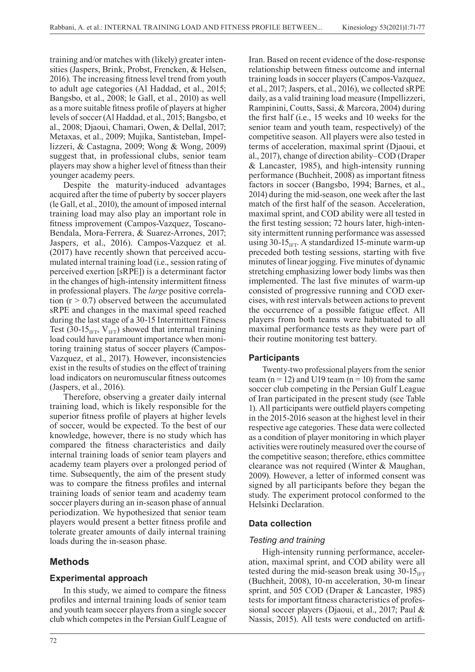training and/or matches with (likely) greater intensities (Jaspers, Brink, Probst, Frencken, & Helsen, 2016). The increasing fitness level trend from youth to adult age categories (Al Haddad, et al., 2015; Bangsbo, et al., 2008; le Gall, et al., 2010) as well as a more suitable fitness profile of players at higher levels of soccer (Al Haddad, et al., 2015; Bangsbo, et al., 2008; Djaoui, Chamari, Owen, & Dellal, 2017; Metaxas, et al., 2009; Mujika, Santisteban, Impellizzeri, & Castagna, 2009; Wong & Wong, 2009) suggest that, in professional clubs, senior team players may show a higher level of fitness than their younger academy peers.

Despite the maturity-induced advantages acquired after the time of puberty by soccer players (le Gall, et al., 2010), the amount of imposed internal training load may also play an important role in fitness improvement (Campos-Vazquez, Toscano-Bendala, Mora-Ferrera, & Suarez-Arrones, 2017; Jaspers, et al., 2016). Campos-Vazquez et al. (2017) have recently shown that perceived accumulated internal training load (i.e., session rating of perceived exertion [sRPE]) is a determinant factor in the changes of high-intensity intermittent fitness in professional players. The *large* positive correlation  $(r > 0.7)$  observed between the accumulated sRPE and changes in the maximal speed reached during the last stage of a 30-15 Intermittent Fitness Test (30-15<sub>IFT</sub>,  $V_{IFT}$ ) showed that internal training load could have paramount importance when monitoring training status of soccer players (Campos-Vazquez, et al., 2017). However, inconsistencies exist in the results of studies on the effect of training load indicators on neuromuscular fitness outcomes (Jaspers, et al., 2016).

Therefore, observing a greater daily internal training load, which is likely responsible for the superior fitness profile of players at higher levels of soccer, would be expected. To the best of our knowledge, however, there is no study which has compared the fitness characteristics and daily internal training loads of senior team players and academy team players over a prolonged period of time. Subsequently, the aim of the present study was to compare the fitness profiles and internal training loads of senior team and academy team soccer players during an in-season phase of annual periodization. We hypothesized that senior team players would present a better fitness profile and tolerate greater amounts of daily internal training loads during the in-season phase.

# **Methods**

# **Experimental approach**

In this study, we aimed to compare the fitness profiles and internal training loads of senior team and youth team soccer players from a single soccer club which competes in the Persian Gulf League of relationship between fitness outcome and internal training loads in soccer players (Campos-Vazquez, et al., 2017; Jaspers, et al., 2016), we collected sRPE daily, as a valid training load measure (Impellizzeri, Rampinini, Coutts, Sassi, & Marcora, 2004) during the first half (i.e., 15 weeks and 10 weeks for the senior team and youth team, respectively) of the competitive season. All players were also tested in terms of acceleration, maximal sprint (Djaoui, et al., 2017), change of direction ability*‒*COD (Draper & Lancaster, 1985), and high-intensity running performance (Buchheit, 2008) as important fitness factors in soccer (Bangsbo, 1994; Barnes, et al., 2014) during the mid-season, one week after the last match of the first half of the season. Acceleration, maximal sprint, and COD ability were all tested in the first testing session; 72 hours later, high-intensity intermittent running performance was assessed using  $30-15$ <sub>IFT</sub>. A standardized 15-minute warm-up preceded both testing sessions, starting with five minutes of linear jogging. Five minutes of dynamic stretching emphasizing lower body limbs was then implemented. The last five minutes of warm-up consisted of progressive running and COD exercises, with rest intervals between actions to prevent the occurrence of a possible fatigue effect. All players from both teams were habituated to all maximal performance tests as they were part of their routine monitoring test battery.

Iran. Based on recent evidence of the dose-response

# **Participants**

Twenty-two professional players from the senior team (n = 12) and U19 team (n = 10) from the same soccer club competing in the Persian Gulf League of Iran participated in the present study (see Table 1). All participants were outfield players competing in the 2015-2016 season at the highest level in their respective age categories. These data were collected as a condition of player monitoring in which player activities were routinely measured over the course of the competitive season; therefore, ethics committee clearance was not required (Winter & Maughan, 2009). However, a letter of informed consent was signed by all participants before they began the study. The experiment protocol conformed to the Helsinki Declaration.

# **Data collection**

# *Testing and training*

High-intensity running performance, acceleration, maximal sprint, and COD ability were all tested during the mid-season break using  $30\n-15<sub>HT</sub>$ (Buchheit, 2008), 10-m acceleration, 30-m linear sprint, and 505 COD (Draper & Lancaster, 1985) tests for important fitness characteristics of professional soccer players (Djaoui, et al., 2017; Paul & Nassis, 2015). All tests were conducted on artifi-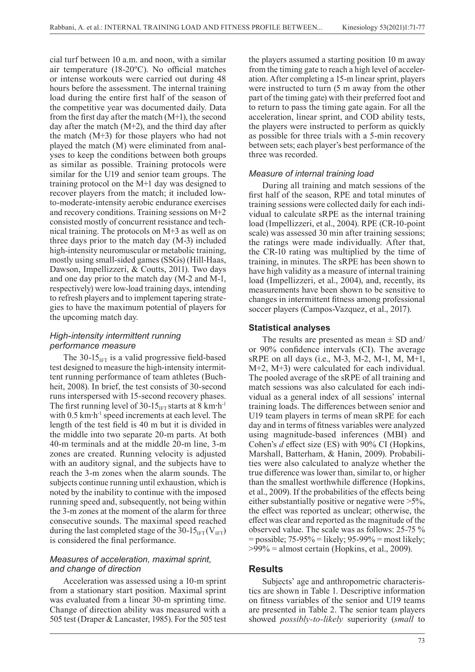cial turf between 10 a.m. and noon, with a similar air temperature (18-20ºC). No official matches or intense workouts were carried out during 48 hours before the assessment. The internal training load during the entire first half of the season of the competitive year was documented daily. Data from the first day after the match (M+1), the second day after the match (M+2), and the third day after the match (M+3) for those players who had not played the match (M) were eliminated from analyses to keep the conditions between both groups as similar as possible. Training protocols were similar for the U19 and senior team groups. The training protocol on the M+1 day was designed to recover players from the match; it included lowto-moderate-intensity aerobic endurance exercises and recovery conditions. Training sessions on M+2 consisted mostly of concurrent resistance and technical training. The protocols on M+3 as well as on three days prior to the match day (M-3) included high-intensity neuromuscular or metabolic training, mostly using small-sided games (SSGs) (Hill-Haas, Dawson, Impellizzeri, & Coutts, 2011). Two days and one day prior to the match day (M-2 and M-1, respectively) were low-load training days, intending to refresh players and to implement tapering strategies to have the maximum potential of players for the upcoming match day.

#### *High-intensity intermittent running performance measure*

The 30-15 $_{IFT}$  is a valid progressive field-based test designed to measure the high-intensity intermittent running performance of team athletes (Buchheit, 2008). In brief, the test consists of 30-second runs interspersed with 15-second recovery phases. The first running level of 30-15 $_{IFT}$  starts at 8 km·h<sup>-1</sup> with 0.5 km·h<sup>-1</sup> speed increments at each level. The length of the test field is 40 m but it is divided in the middle into two separate 20-m parts. At both 40-m terminals and at the middle 20-m line, 3-m zones are created. Running velocity is adjusted with an auditory signal, and the subjects have to reach the 3-m zones when the alarm sounds. The subjects continue running until exhaustion, which is noted by the inability to continue with the imposed running speed and, subsequently, not being within the 3-m zones at the moment of the alarm for three consecutive sounds. The maximal speed reached during the last completed stage of the 30-15 $_{\text{IFT}}$  (V<sub>IFT</sub>) is considered the final performance.

#### *Measures of acceleration, maximal sprint, and change of direction*

Acceleration was assessed using a 10-m sprint from a stationary start position. Maximal sprint was evaluated from a linear 30-m sprinting time. Change of direction ability was measured with a 505 test (Draper & Lancaster, 1985). For the 505 test

the players assumed a starting position 10 m away from the timing gate to reach a high level of acceleration. After completing a 15-m linear sprint, players were instructed to turn (5 m away from the other part of the timing gate) with their preferred foot and to return to pass the timing gate again. For all the acceleration, linear sprint, and COD ability tests, the players were instructed to perform as quickly as possible for three trials with a 5-min recovery between sets; each player's best performance of the three was recorded.

#### *Measure of internal training load*

During all training and match sessions of the first half of the season, RPE and total minutes of training sessions were collected daily for each individual to calculate sRPE as the internal training load (Impellizzeri, et al., 2004). RPE (CR-10-point scale) was assessed 30 min after training sessions; the ratings were made individually. After that, the CR-10 rating was multiplied by the time of training, in minutes. The sRPE has been shown to have high validity as a measure of internal training load (Impellizzeri, et al., 2004), and, recently, its measurements have been shown to be sensitive to changes in intermittent fitness among professional soccer players (Campos-Vazquez, et al., 2017).

#### **Statistical analyses**

The results are presented as mean  $\pm$  SD and/ or 90% confidence intervals (CI). The average sRPE on all days (i.e., M-3, M-2, M-1, M, M+1, M+2, M+3) were calculated for each individual. The pooled average of the sRPE of all training and match sessions was also calculated for each individual as a general index of all sessions' internal training loads. The differences between senior and U19 team players in terms of mean sRPE for each day and in terms of fitness variables were analyzed using magnitude-based inferences (MBI) and Cohen's *d* effect size (ES) with 90% CI (Hopkins, Marshall, Batterham, & Hanin, 2009). Probabilities were also calculated to analyze whether the true difference was lower than, similar to, or higher than the smallest worthwhile difference (Hopkins, et al., 2009). If the probabilities of the effects being either substantially positive or negative were >5%, the effect was reported as unclear; otherwise, the effect was clear and reported as the magnitude of the observed value. The scale was as follows: 25-75 %  $=$  possible; 75-95%  $=$  likely; 95-99%  $=$  most likely;  $>99\%$  = almost certain (Hopkins, et al., 2009).

# **Results**

Subjects' age and anthropometric characteristics are shown in Table 1. Descriptive information on fitness variables of the senior and U19 teams are presented in Table 2. The senior team players showed *possibly-to-likely* superiority (*small* to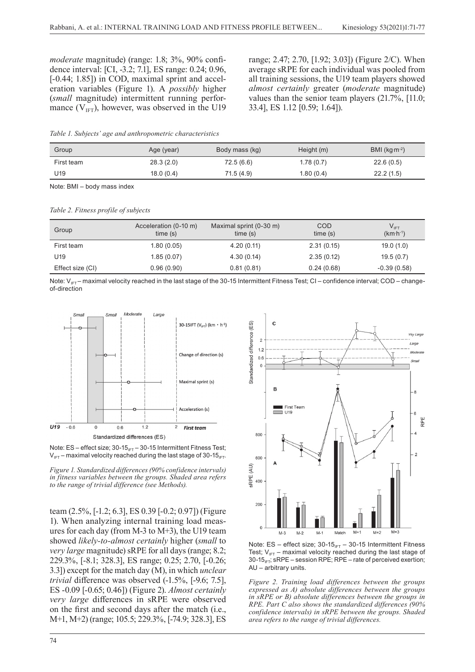*moderate* magnitude) (range: 1.8; 3%, 90% confidence interval: [CI, -3.2; 7.1], ES range: 0.24; 0.96, [-0.44; 1.85]) in COD, maximal sprint and acceleration variables (Figure 1). A *possibly* higher (*small* magnitude) intermittent running performance  $(V_{\text{IFT}})$ , however, was observed in the U19 range; 2.47; 2.70, [1.92; 3.03]) (Figure 2/C). When average sRPE for each individual was pooled from all training sessions, the U19 team players showed *almost certainly* greater (*moderate* magnitude) values than the senior team players (21.7%, [11.0; 33.4], ES 1.12 [0.59; 1.64]).

*Table 1. Subjects' age and anthropometric characteristics*

| Group      | Age (year) | Body mass (kg) | Height (m) | BMI (kg $m^{-2}$ ) |
|------------|------------|----------------|------------|--------------------|
| First team | 28.3(2.0)  | 72.5 (6.6)     | 1.78(0.7)  | 22.6(0.5)          |
| U19        | 18.0(0.4)  | 71.5 (4.9)     | 1.80(0.4)  | 22.2(1.5)          |

Note: BMI – body mass index

*Table 2. Fitness profile of subjects* 

| Group            | Acceleration (0-10 m)<br>time(s) | Maximal sprint (0-30 m)<br>time(s) | COD<br>time(s) | $V_{\text{IFT}}$<br>$(km·h-1)$ |
|------------------|----------------------------------|------------------------------------|----------------|--------------------------------|
| First team       | 1.80(0.05)                       | 4.20(0.11)                         | 2.31(0.15)     | 19.0(1.0)                      |
| U19              | 1.85(0.07)                       | 4.30(0.14)                         | 2.35(0.12)     | 19.5(0.7)                      |
| Effect size (CI) | 0.96(0.90)                       | 0.81(0.81)                         | 0.24(0.68)     | $-0.39(0.58)$                  |

Note:  $V_{IF}$  – maximal velocity reached in the last stage of the 30-15 Intermittent Fitness Test; CI – confidence interval; COD – changeof-direction





*Figure 1. Standardized differences (90% confidence intervals) in fitness variables between the groups. Shaded area refers to the range of trivial difference (see Methods).*

team (2.5%, [-1.2; 6.3], ES 0.39 [-0.2; 0.97]) (Figure 1). When analyzing internal training load measures for each day (from M-3 to M+3), the U19 team showed *likely-to-almost certainly* higher (*small* to *very large* magnitude) sRPE for all days (range; 8.2; 229.3%, [-8.1; 328.3], ES range; 0.25; 2.70, [-0.26; 3.3]) except for the match day (M), in which *unclear trivial* difference was observed (-1.5%, [-9.6; 7.5], ES -0.09 [-0.65; 0.46]) (Figure 2). *Almost certainly very large* differences in sRPE were observed on the first and second days after the match (i.e., M+1, M+2) (range; 105.5; 229.3%, [-74.9; 328.3], ES



Note:  $ES$  – effect size;  $30-15_{IFT}$  –  $30-15$  Intermittent Fitness Test;  $V_{IFT}$  – maximal velocity reached during the last stage of 30-15 $_{IF}$ ; sRPE – session RPE; RPE – rate of perceived exertion; AU – arbitrary units.

*Figure 2. Training load differences between the groups expressed as A) absolute differences between the groups in sRPE or B) absolute differences between the groups in RPE. Part C also shows the standardized differences (90% confidence intervals) in sRPE between the groups. Shaded area refers to the range of trivial differences.*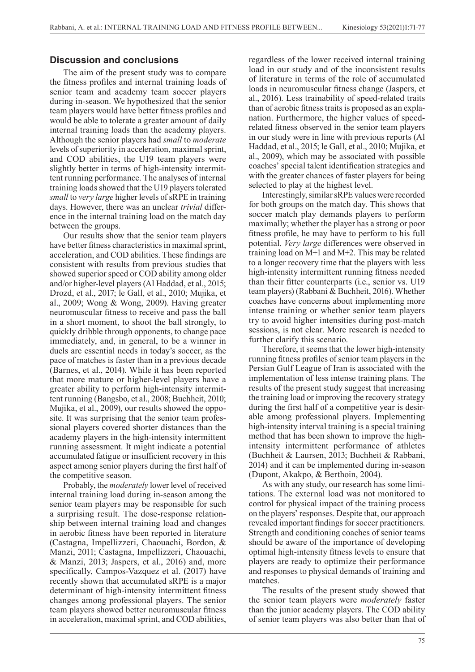#### **Discussion and conclusions**

The aim of the present study was to compare the fitness profiles and internal training loads of senior team and academy team soccer players during in-season. We hypothesized that the senior team players would have better fitness profiles and would be able to tolerate a greater amount of daily internal training loads than the academy players. Although the senior players had *small* to *moderate* levels of superiority in acceleration, maximal sprint, and COD abilities, the U19 team players were slightly better in terms of high-intensity intermittent running performance. The analyses of internal training loads showed that the U19 players tolerated *small* to *very large* higher levels of sRPE in training days. However, there was an unclear *trivial* difference in the internal training load on the match day between the groups.

Our results show that the senior team players have better fitness characteristics in maximal sprint, acceleration, and COD abilities. These findings are consistent with results from previous studies that showed superior speed or COD ability among older and/or higher-level players (Al Haddad, et al., 2015; Drozd, et al., 2017; le Gall, et al., 2010; Mujika, et al., 2009; Wong & Wong, 2009). Having greater neuromuscular fitness to receive and pass the ball in a short moment, to shoot the ball strongly, to quickly dribble through opponents, to change pace immediately, and, in general, to be a winner in duels are essential needs in today's soccer, as the pace of matches is faster than in a previous decade (Barnes, et al., 2014). While it has been reported that more mature or higher-level players have a greater ability to perform high-intensity intermittent running (Bangsbo, et al., 2008; Buchheit, 2010; Mujika, et al., 2009), our results showed the opposite. It was surprising that the senior team professional players covered shorter distances than the academy players in the high-intensity intermittent running assessment. It might indicate a potential accumulated fatigue or insufficient recovery in this aspect among senior players during the first half of the competitive season.

Probably, the *moderately* lower level of received internal training load during in-season among the senior team players may be responsible for such a surprising result. The dose-response relationship between internal training load and changes in aerobic fitness have been reported in literature (Castagna, Impellizzeri, Chaouachi, Bordon, & Manzi, 2011; Castagna, Impellizzeri, Chaouachi, & Manzi, 2013; Jaspers, et al., 2016) and, more specifically, Campos-Vazquez et al. (2017) have recently shown that accumulated sRPE is a major determinant of high-intensity intermittent fitness changes among professional players. The senior team players showed better neuromuscular fitness in acceleration, maximal sprint, and COD abilities,

regardless of the lower received internal training load in our study and of the inconsistent results of literature in terms of the role of accumulated loads in neuromuscular fitness change (Jaspers, et al., 2016). Less trainability of speed-related traits than of aerobic fitness traits is proposed as an explanation. Furthermore, the higher values of speedrelated fitness observed in the senior team players in our study were in line with previous reports (Al Haddad, et al., 2015; le Gall, et al., 2010; Mujika, et al., 2009), which may be associated with possible coaches' special talent identification strategies and with the greater chances of faster players for being selected to play at the highest level.

Interestingly, similar sRPE values were recorded for both groups on the match day. This shows that soccer match play demands players to perform maximally; whether the player has a strong or poor fitness profile, he may have to perform to his full potential. *Very large* differences were observed in training load on M+1 and M+2. This may be related to a longer recovery time that the players with less high-intensity intermittent running fitness needed than their fitter counterparts (i.e., senior vs. U19 team players) (Rabbani & Buchheit, 2016). Whether coaches have concerns about implementing more intense training or whether senior team players try to avoid higher intensities during post-match sessions, is not clear. More research is needed to further clarify this scenario.

Therefore, it seems that the lower high-intensity running fitness profiles of senior team players in the Persian Gulf League of Iran is associated with the implementation of less intense training plans. The results of the present study suggest that increasing the training load or improving the recovery strategy during the first half of a competitive year is desirable among professional players. Implementing high-intensity interval training is a special training method that has been shown to improve the highintensity intermittent performance of athletes (Buchheit & Laursen, 2013; Buchheit & Rabbani, 2014) and it can be implemented during in-season (Dupont, Akakpo, & Berthoin, 2004).

As with any study, our research has some limitations. The external load was not monitored to control for physical impact of the training process on the players' responses. Despite that, our approach revealed important findings for soccer practitioners. Strength and conditioning coaches of senior teams should be aware of the importance of developing optimal high-intensity fitness levels to ensure that players are ready to optimize their performance and responses to physical demands of training and matches.

The results of the present study showed that the senior team players were *moderately* faster than the junior academy players. The COD ability of senior team players was also better than that of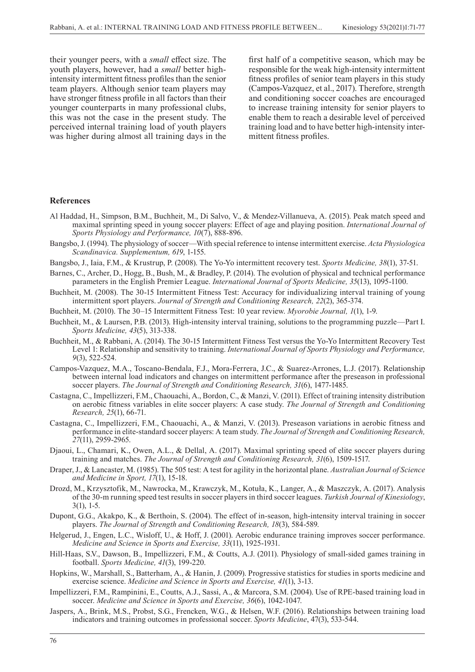their younger peers, with a *small* effect size. The youth players, however, had a *small* better highintensity intermittent fitness profiles than the senior team players. Although senior team players may have stronger fitness profile in all factors than their younger counterparts in many professional clubs, this was not the case in the present study. The perceived internal training load of youth players was higher during almost all training days in the first half of a competitive season, which may be responsible for the weak high-intensity intermittent fitness profiles of senior team players in this study (Campos-Vazquez, et al., 2017). Therefore, strength and conditioning soccer coaches are encouraged to increase training intensity for senior players to enable them to reach a desirable level of perceived training load and to have better high-intensity intermittent fitness profiles.

#### **References**

- Al Haddad, H., Simpson, B.M., Buchheit, M., Di Salvo, V., & Mendez-Villanueva, A. (2015). Peak match speed and maximal sprinting speed in young soccer players: Effect of age and playing position. *International Journal of Sports Physiology and Performance, 10*(7), 888-896.
- Bangsbo, J. (1994). The physiology of soccer—With special reference to intense intermittent exercise. *Acta Physiologica Scandinavica. Supplementum, 619*, 1-155.
- Bangsbo, J., Iaia, F.M., & Krustrup, P. (2008). The Yo-Yo intermittent recovery test. *Sports Medicine, 38*(1), 37-51.
- Barnes, C., Archer, D., Hogg, B., Bush, M., & Bradley, P. (2014). The evolution of physical and technical performance parameters in the English Premier League. *International Journal of Sports Medicine, 35*(13), 1095-1100.
- Buchheit, M. (2008). The 30-15 Intermittent Fitness Test: Accuracy for individualizing interval training of young intermittent sport players. *Journal of Strength and Conditioning Research, 22*(2), 365-374.
- Buchheit, M. (2010). The 30–15 Intermittent Fitness Test: 10 year review. *Myorobie Journal, 1*(1), 1-9.
- Buchheit, M., & Laursen, P.B. (2013). High-intensity interval training, solutions to the programming puzzle—Part I. *Sports Medicine, 43*(5), 313-338.
- Buchheit, M., & Rabbani, A. (2014). The 30-15 Intermittent Fitness Test versus the Yo-Yo Intermittent Recovery Test Level 1: Relationship and sensitivity to training. *International Journal of Sports Physiology and Performance, 9*(3), 522-524.
- Campos-Vazquez, M.A., Toscano-Bendala, F.J., Mora-Ferrera, J.C., & Suarez-Arrones, L.J. (2017). Relationship between internal load indicators and changes on intermittent performance after the preseason in professional soccer players. *The Journal of Strength and Conditioning Research, 31*(6), 1477-1485.
- Castagna, C., Impellizzeri, F.M., Chaouachi, A., Bordon, C., & Manzi, V. (2011). Effect of training intensity distribution on aerobic fitness variables in elite soccer players: A case study. *The Journal of Strength and Conditioning Research, 25*(1), 66-71.
- Castagna, C., Impellizzeri, F.M., Chaouachi, A., & Manzi, V. (2013). Preseason variations in aerobic fitness and performance in elite-standard soccer players: A team study. *The Journal of Strength and Conditioning Research, 27*(11), 2959-2965.
- Djaoui, L., Chamari, K., Owen, A.L., & Dellal, A. (2017). Maximal sprinting speed of elite soccer players during training and matches. *The Journal of Strength and Conditioning Research, 31*(6), 1509-1517.
- Draper, J., & Lancaster, M. (1985). The 505 test: A test for agility in the horizontal plane. *Australian Journal of Science and Medicine in Sport, 17*(1), 15-18.
- Drozd, M., Krzysztofik, M., Nawrocka, M., Krawczyk, M., Kotuła, K., Langer, A., & Maszczyk, A. (2017). Analysis of the 30-m running speed test results in soccer players in third soccer leagues. *Turkish Journal of Kinesiology*, 3(1), 1-5.
- Dupont, G.G., Akakpo, K., & Berthoin, S. (2004). The effect of in-season, high-intensity interval training in soccer players. *The Journal of Strength and Conditioning Research, 18*(3), 584-589.
- Helgerud, J., Engen, L.C., Wisloff, U., & Hoff, J. (2001). Aerobic endurance training improves soccer performance. *Medicine and Science in Sports and Exercise, 33*(11), 1925-1931.
- Hill-Haas, S.V., Dawson, B., Impellizzeri, F.M., & Coutts, A.J. (2011). Physiology of small-sided games training in football. *Sports Medicine, 41*(3), 199-220.
- Hopkins, W., Marshall, S., Batterham, A., & Hanin, J. (2009). Progressive statistics for studies in sports medicine and exercise science. *Medicine and Science in Sports and Exercise, 41*(1), 3-13.
- Impellizzeri, F.M., Rampinini, E., Coutts, A.J., Sassi, A., & Marcora, S.M. (2004). Use of RPE-based training load in soccer. *Medicine and Science in Sports and Exercise, 36*(6), 1042-1047.
- Jaspers, A., Brink, M.S., Probst, S.G., Frencken, W.G., & Helsen, W.F. (2016). Relationships between training load indicators and training outcomes in professional soccer. *Sports Medicine*, 47(3), 533-544.